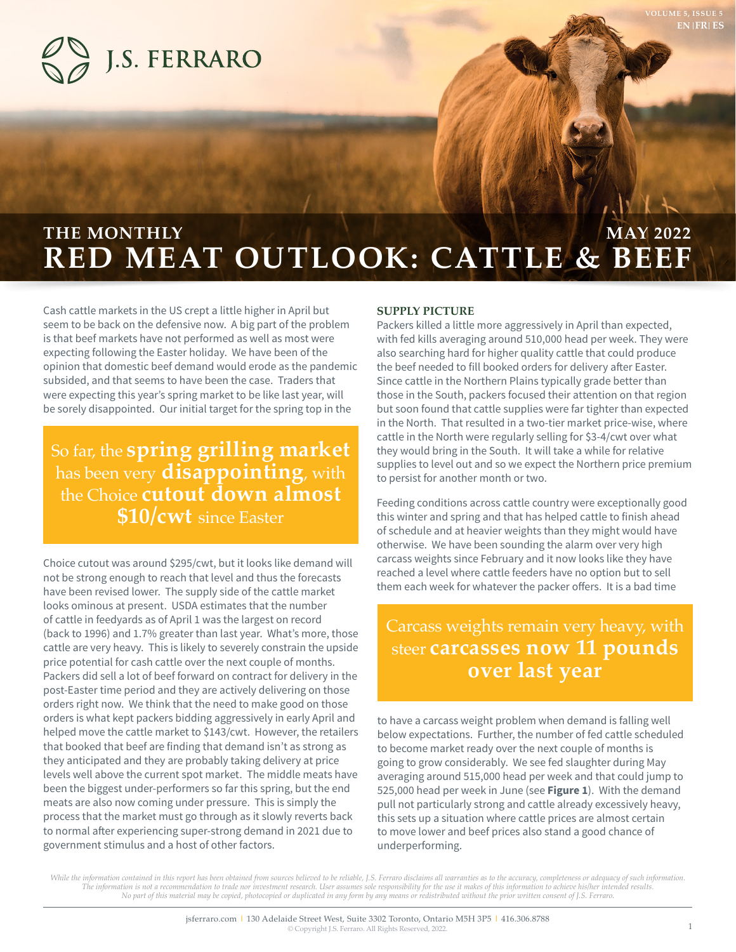



# **RED MEAT OUTLOOK: CATTLE & BEEF THE MONTHLY EXECUTE AND RESIDENT ASSESSMENT OF A SET OF A SET OF A SET OF A SET OF A SET OF A SET OF A SET OF A SET OF A SET OF A SET OF A SET OF A SET OF A SET OF A SET OF A SET OF A SET OF A SET OF A SET OF A SET OF A S**

Cash cattle markets in the US crept a little higher in April but seem to be back on the defensive now. A big part of the problem is that beef markets have not performed as well as most were expecting following the Easter holiday. We have been of the opinion that domestic beef demand would erode as the pandemic subsided, and that seems to have been the case. Traders that were expecting this year's spring market to be like last year, will be sorely disappointed. Our initial target for the spring top in the

# So far, the **spring grilling market**  has been very **disappointing**, with the Choice **cutout down almost \$10/cwt** since Easter

Choice cutout was around \$295/cwt, but it looks like demand will not be strong enough to reach that level and thus the forecasts have been revised lower. The supply side of the cattle market looks ominous at present. USDA estimates that the number of cattle in feedyards as of April 1 was the largest on record (back to 1996) and 1.7% greater than last year. What's more, those cattle are very heavy. This is likely to severely constrain the upside price potential for cash cattle over the next couple of months. Packers did sell a lot of beef forward on contract for delivery in the post-Easter time period and they are actively delivering on those orders right now. We think that the need to make good on those orders is what kept packers bidding aggressively in early April and helped move the cattle market to \$143/cwt. However, the retailers that booked that beef are finding that demand isn't as strong as they anticipated and they are probably taking delivery at price levels well above the current spot market. The middle meats have been the biggest under-performers so far this spring, but the end meats are also now coming under pressure. This is simply the process that the market must go through as it slowly reverts back to normal after experiencing super-strong demand in 2021 due to government stimulus and a host of other factors.

### **SUPPLY PICTURE**

Packers killed a little more aggressively in April than expected, with fed kills averaging around 510,000 head per week. They were also searching hard for higher quality cattle that could produce the beef needed to fill booked orders for delivery after Easter. Since cattle in the Northern Plains typically grade better than those in the South, packers focused their attention on that region but soon found that cattle supplies were far tighter than expected in the North. That resulted in a two-tier market price-wise, where cattle in the North were regularly selling for \$3-4/cwt over what they would bring in the South. It will take a while for relative supplies to level out and so we expect the Northern price premium to persist for another month or two.

Feeding conditions across cattle country were exceptionally good this winter and spring and that has helped cattle to finish ahead of schedule and at heavier weights than they might would have otherwise. We have been sounding the alarm over very high carcass weights since February and it now looks like they have reached a level where cattle feeders have no option but to sell them each week for whatever the packer offers. It is a bad time

## Carcass weights remain very heavy, with steer **carcasses now 11 pounds over last year**

to have a carcass weight problem when demand is falling well below expectations. Further, the number of fed cattle scheduled to become market ready over the next couple of months is going to grow considerably. We see fed slaughter during May averaging around 515,000 head per week and that could jump to 525,000 head per week in June (see **Figure 1**). With the demand pull not particularly strong and cattle already excessively heavy, this sets up a situation where cattle prices are almost certain to move lower and beef prices also stand a good chance of underperforming.

While the information contained in this report has been obtained from sources believed to be reliable, J.S. Ferraro disclaims all warranties as to the accuracy, completeness or adequacy of such information. *The information is not a recommendation to trade nor investment research. User assumes sole responsibility for the use it makes of this information to achieve his/her intended results. No part of this material may be copied, photocopied or duplicated in any form by any means or redistributed without the prior written consent of J.S. Ferraro.*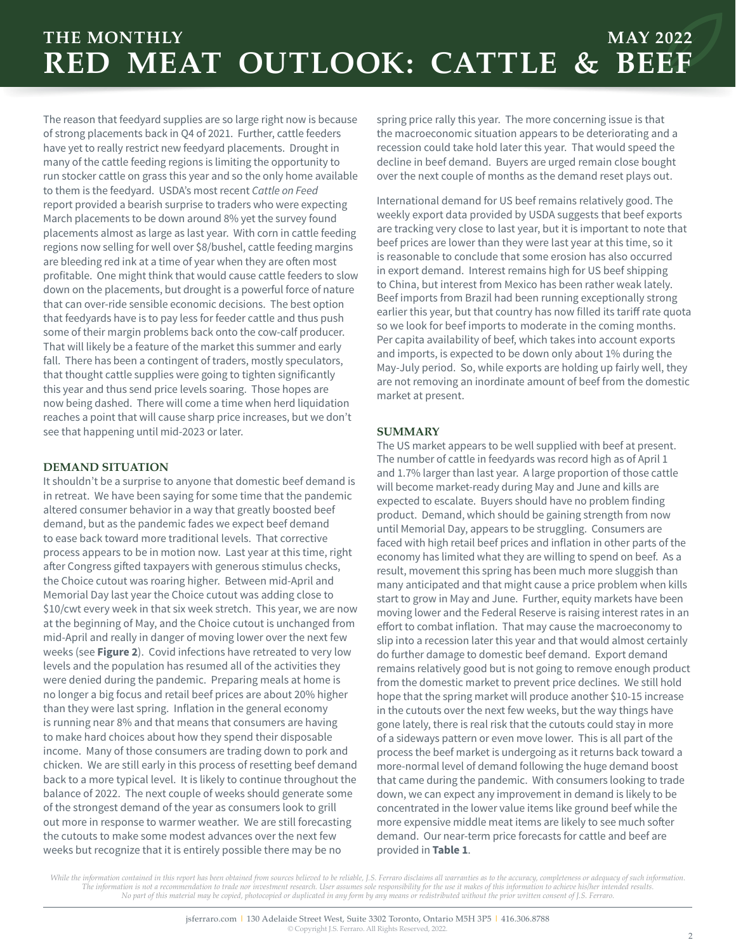### **THE MONTHLY MAY 2022 RED MEAT OUTLOOK: CATTLE & BEEF**

The reason that feedyard supplies are so large right now is because of strong placements back in Q4 of 2021. Further, cattle feeders have yet to really restrict new feedyard placements. Drought in many of the cattle feeding regions is limiting the opportunity to run stocker cattle on grass this year and so the only home available to them is the feedyard. USDA's most recent *Cattle on Feed* report provided a bearish surprise to traders who were expecting March placements to be down around 8% yet the survey found placements almost as large as last year. With corn in cattle feeding regions now selling for well over \$8/bushel, cattle feeding margins are bleeding red ink at a time of year when they are often most profitable. One might think that would cause cattle feeders to slow down on the placements, but drought is a powerful force of nature that can over-ride sensible economic decisions. The best option that feedyards have is to pay less for feeder cattle and thus push some of their margin problems back onto the cow-calf producer. That will likely be a feature of the market this summer and early fall. There has been a contingent of traders, mostly speculators, that thought cattle supplies were going to tighten significantly this year and thus send price levels soaring. Those hopes are now being dashed. There will come a time when herd liquidation reaches a point that will cause sharp price increases, but we don't see that happening until mid-2023 or later.

### **DEMAND SITUATION**

It shouldn't be a surprise to anyone that domestic beef demand is in retreat. We have been saying for some time that the pandemic altered consumer behavior in a way that greatly boosted beef demand, but as the pandemic fades we expect beef demand to ease back toward more traditional levels. That corrective process appears to be in motion now. Last year at this time, right after Congress gifted taxpayers with generous stimulus checks, the Choice cutout was roaring higher. Between mid-April and Memorial Day last year the Choice cutout was adding close to \$10/cwt every week in that six week stretch. This year, we are now at the beginning of May, and the Choice cutout is unchanged from mid-April and really in danger of moving lower over the next few weeks (see **Figure 2**). Covid infections have retreated to very low levels and the population has resumed all of the activities they were denied during the pandemic. Preparing meals at home is no longer a big focus and retail beef prices are about 20% higher than they were last spring. Inflation in the general economy is running near 8% and that means that consumers are having to make hard choices about how they spend their disposable income. Many of those consumers are trading down to pork and chicken. We are still early in this process of resetting beef demand back to a more typical level. It is likely to continue throughout the balance of 2022. The next couple of weeks should generate some of the strongest demand of the year as consumers look to grill out more in response to warmer weather. We are still forecasting the cutouts to make some modest advances over the next few weeks but recognize that it is entirely possible there may be no

spring price rally this year. The more concerning issue is that the macroeconomic situation appears to be deteriorating and a recession could take hold later this year. That would speed the decline in beef demand. Buyers are urged remain close bought over the next couple of months as the demand reset plays out.

International demand for US beef remains relatively good. The weekly export data provided by USDA suggests that beef exports are tracking very close to last year, but it is important to note that beef prices are lower than they were last year at this time, so it is reasonable to conclude that some erosion has also occurred in export demand. Interest remains high for US beef shipping to China, but interest from Mexico has been rather weak lately. Beef imports from Brazil had been running exceptionally strong earlier this year, but that country has now filled its tariff rate quota so we look for beef imports to moderate in the coming months. Per capita availability of beef, which takes into account exports and imports, is expected to be down only about 1% during the May-July period. So, while exports are holding up fairly well, they are not removing an inordinate amount of beef from the domestic market at present.

### **SUMMARY**

The US market appears to be well supplied with beef at present. The number of cattle in feedyards was record high as of April 1 and 1.7% larger than last year. A large proportion of those cattle will become market-ready during May and June and kills are expected to escalate. Buyers should have no problem finding product. Demand, which should be gaining strength from now until Memorial Day, appears to be struggling. Consumers are faced with high retail beef prices and inflation in other parts of the economy has limited what they are willing to spend on beef. As a result, movement this spring has been much more sluggish than many anticipated and that might cause a price problem when kills start to grow in May and June. Further, equity markets have been moving lower and the Federal Reserve is raising interest rates in an effort to combat inflation. That may cause the macroeconomy to slip into a recession later this year and that would almost certainly do further damage to domestic beef demand. Export demand remains relatively good but is not going to remove enough product from the domestic market to prevent price declines. We still hold hope that the spring market will produce another \$10-15 increase in the cutouts over the next few weeks, but the way things have gone lately, there is real risk that the cutouts could stay in more of a sideways pattern or even move lower. This is all part of the process the beef market is undergoing as it returns back toward a more-normal level of demand following the huge demand boost that came during the pandemic. With consumers looking to trade down, we can expect any improvement in demand is likely to be concentrated in the lower value items like ground beef while the more expensive middle meat items are likely to see much softer demand. Our near-term price forecasts for cattle and beef are provided in **Table 1**.

*While the information contained in this report has been obtained from sources believed to be reliable, J.S. Ferraro disclaims all warranties as to the accuracy, completeness or adequacy of such information. The information is not a recommendation to trade nor investment research. User assumes sole responsibility for the use it makes of this information to achieve his/her intended results. No part of this material may be copied, photocopied or duplicated in any form by any means or redistributed without the prior written consent of J.S. Ferraro.*